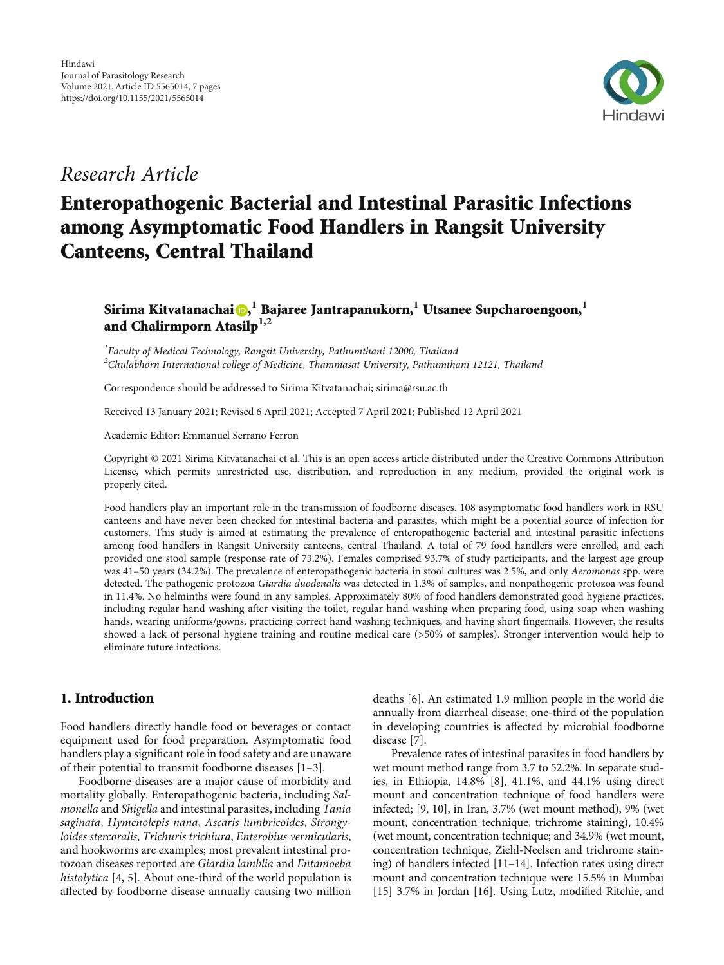

# Research Article

# Enteropathogenic Bacterial and Intestinal Parasitic Infections among Asymptomatic Food Handlers in Rangsit University Canteens, Central Thailand

# $\boldsymbol{\mathrm{Sirima}}$  Kitvatanachai $\boldsymbol{\mathrm{\textcolor{red}{\bullet}}},^{\textcolor{red}{1}}$  Bajaree Jantrapanukorn, $^{\textcolor{red}{1}}$  Utsanee Supcharoengoon, $^{\textcolor{red}{1}}$ and Chalirmporn Atasilp**1,2**

<sup>1</sup>Faculty of Medical Technology, Rangsit University, Pathumthani 12000, Thailand  $\rm ^2$ Chulabhorn International college of Medicine, Thammasat University, Pathumthani 12121, Thailand

Correspondence should be addressed to Sirima Kitvatanachai; sirima@rsu.ac.th

Received 13 January 2021; Revised 6 April 2021; Accepted 7 April 2021; Published 12 April 2021

Academic Editor: Emmanuel Serrano Ferron

Copyright © 2021 Sirima Kitvatanachai et al. This is an open access article distributed under the [Creative Commons Attribution](https://creativecommons.org/licenses/by/4.0/) [License,](https://creativecommons.org/licenses/by/4.0/) which permits unrestricted use, distribution, and reproduction in any medium, provided the original work is properly cited.

Food handlers play an important role in the transmission of foodborne diseases. 108 asymptomatic food handlers work in RSU canteens and have never been checked for intestinal bacteria and parasites, which might be a potential source of infection for customers. This study is aimed at estimating the prevalence of enteropathogenic bacterial and intestinal parasitic infections among food handlers in Rangsit University canteens, central Thailand. A total of 79 food handlers were enrolled, and each provided one stool sample (response rate of 73.2%). Females comprised 93.7% of study participants, and the largest age group was 41-50 years (34.2%). The prevalence of enteropathogenic bacteria in stool cultures was 2.5%, and only Aeromonas spp. were detected. The pathogenic protozoa Giardia duodenalis was detected in 1.3% of samples, and nonpathogenic protozoa was found in 11.4%. No helminths were found in any samples. Approximately 80% of food handlers demonstrated good hygiene practices, including regular hand washing after visiting the toilet, regular hand washing when preparing food, using soap when washing hands, wearing uniforms/gowns, practicing correct hand washing techniques, and having short fingernails. However, the results showed a lack of personal hygiene training and routine medical care (>50% of samples). Stronger intervention would help to eliminate future infections.

### 1. Introduction

Food handlers directly handle food or beverages or contact equipment used for food preparation. Asymptomatic food handlers play a significant role in food safety and are unaware of their potential to transmit foodborne diseases [\[1](#page-4-0)–[3\]](#page-5-0).

Foodborne diseases are a major cause of morbidity and mortality globally. Enteropathogenic bacteria, including Salmonella and Shigella and intestinal parasites, including Tania saginata, Hymenolepis nana, Ascaris lumbricoides, Strongyloides stercoralis, Trichuris trichiura, Enterobius vermicularis, and hookworms are examples; most prevalent intestinal protozoan diseases reported are Giardia lamblia and Entamoeba histolytica [\[4, 5](#page-5-0)]. About one-third of the world population is affected by foodborne disease annually causing two million deaths [\[6\]](#page-5-0). An estimated 1.9 million people in the world die annually from diarrheal disease; one-third of the population in developing countries is affected by microbial foodborne disease [[7\]](#page-5-0).

Prevalence rates of intestinal parasites in food handlers by wet mount method range from 3.7 to 52.2%. In separate studies, in Ethiopia, 14.8% [\[8](#page-5-0)], 41.1%, and 44.1% using direct mount and concentration technique of food handlers were infected; [\[9](#page-5-0), [10](#page-5-0)], in Iran, 3.7% (wet mount method), 9% (wet mount, concentration technique, trichrome staining), 10.4% (wet mount, concentration technique; and 34.9% (wet mount, concentration technique, Ziehl-Neelsen and trichrome staining) of handlers infected [\[11](#page-5-0)–[14\]](#page-5-0). Infection rates using direct mount and concentration technique were 15.5% in Mumbai [\[15\]](#page-5-0) 3.7% in Jordan [[16](#page-5-0)]. Using Lutz, modified Ritchie, and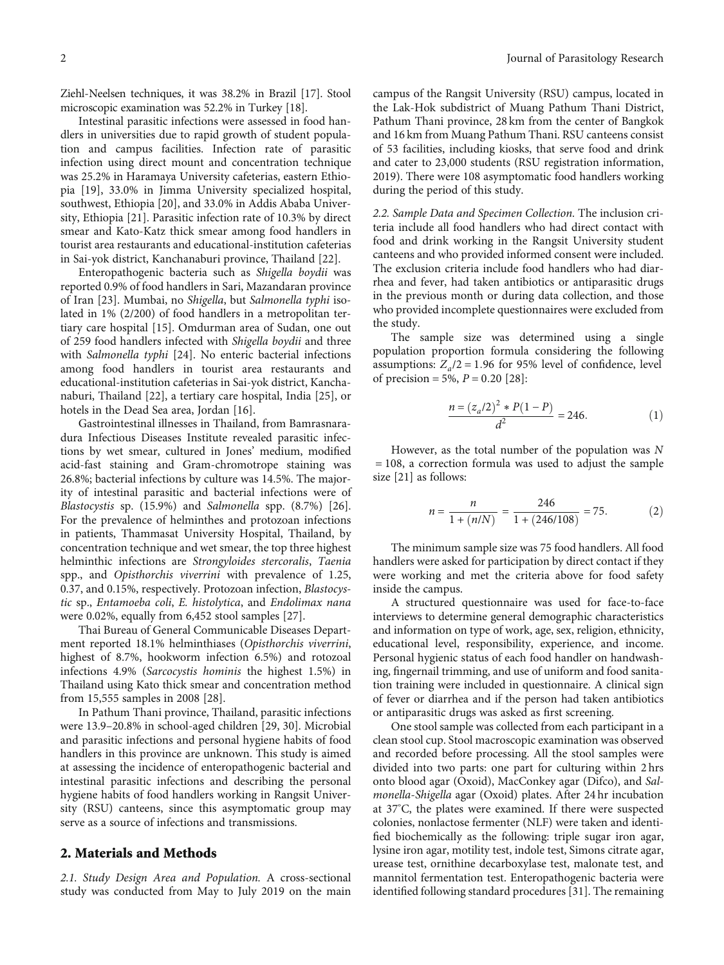Ziehl-Neelsen techniques, it was 38.2% in Brazil [\[17\]](#page-5-0). Stool microscopic examination was 52.2% in Turkey [\[18](#page-5-0)].

Intestinal parasitic infections were assessed in food handlers in universities due to rapid growth of student population and campus facilities. Infection rate of parasitic infection using direct mount and concentration technique was 25.2% in Haramaya University cafeterias, eastern Ethiopia [\[19\]](#page-5-0), 33.0% in Jimma University specialized hospital, southwest, Ethiopia [[20\]](#page-5-0), and 33.0% in Addis Ababa University, Ethiopia [\[21](#page-5-0)]. Parasitic infection rate of 10.3% by direct smear and Kato-Katz thick smear among food handlers in tourist area restaurants and educational-institution cafeterias in Sai-yok district, Kanchanaburi province, Thailand [\[22\]](#page-5-0).

Enteropathogenic bacteria such as Shigella boydii was reported 0.9% of food handlers in Sari, Mazandaran province of Iran [\[23\]](#page-5-0). Mumbai, no Shigella, but Salmonella typhi isolated in 1% (2/200) of food handlers in a metropolitan tertiary care hospital [\[15](#page-5-0)]. Omdurman area of Sudan, one out of 259 food handlers infected with Shigella boydii and three with Salmonella typhi [[24](#page-5-0)]. No enteric bacterial infections among food handlers in tourist area restaurants and educational-institution cafeterias in Sai-yok district, Kanchanaburi, Thailand [[22](#page-5-0)], a tertiary care hospital, India [\[25\]](#page-5-0), or hotels in the Dead Sea area, Jordan [\[16](#page-5-0)].

Gastrointestinal illnesses in Thailand, from Bamrasnaradura Infectious Diseases Institute revealed parasitic infections by wet smear, cultured in Jones' medium, modified acid-fast staining and Gram-chromotrope staining was 26.8%; bacterial infections by culture was 14.5%. The majority of intestinal parasitic and bacterial infections were of Blastocystis sp. (15.9%) and Salmonella spp. (8.7%) [[26](#page-5-0)]. For the prevalence of helminthes and protozoan infections in patients, Thammasat University Hospital, Thailand, by concentration technique and wet smear, the top three highest helminthic infections are Strongyloides stercoralis, Taenia spp., and Opisthorchis viverrini with prevalence of 1.25, 0.37, and 0.15%, respectively. Protozoan infection, Blastocystic sp., Entamoeba coli, E. histolytica, and Endolimax nana were 0.02%, equally from 6,452 stool samples [[27](#page-5-0)].

Thai Bureau of General Communicable Diseases Department reported 18.1% helminthiases (Opisthorchis viverrini, highest of 8.7%, hookworm infection 6.5%) and rotozoal infections 4.9% (Sarcocystis hominis the highest 1.5%) in Thailand using Kato thick smear and concentration method from 15,555 samples in 2008 [[28](#page-5-0)].

In Pathum Thani province, Thailand, parasitic infections were 13.9–20.8% in school-aged children [[29](#page-6-0), [30\]](#page-6-0). Microbial and parasitic infections and personal hygiene habits of food handlers in this province are unknown. This study is aimed at assessing the incidence of enteropathogenic bacterial and intestinal parasitic infections and describing the personal hygiene habits of food handlers working in Rangsit University (RSU) canteens, since this asymptomatic group may serve as a source of infections and transmissions.

### 2. Materials and Methods

2.1. Study Design Area and Population. A cross-sectional study was conducted from May to July 2019 on the main

campus of the Rangsit University (RSU) campus, located in the Lak-Hok subdistrict of Muang Pathum Thani District, Pathum Thani province, 28 km from the center of Bangkok and 16 km from Muang Pathum Thani. RSU canteens consist of 53 facilities, including kiosks, that serve food and drink and cater to 23,000 students (RSU registration information, 2019). There were 108 asymptomatic food handlers working during the period of this study.

2.2. Sample Data and Specimen Collection. The inclusion criteria include all food handlers who had direct contact with food and drink working in the Rangsit University student canteens and who provided informed consent were included. The exclusion criteria include food handlers who had diarrhea and fever, had taken antibiotics or antiparasitic drugs in the previous month or during data collection, and those who provided incomplete questionnaires were excluded from the study.

The sample size was determined using a single population proportion formula considering the following assumptions:  $Z_a/2 = 1.96$  for 95% level of confidence, level of precision = 5*%*, *P* = 0*:*20 [[28\]](#page-5-0):

$$
\frac{n = (z_a/2)^2 * P(1 - P)}{d^2} = 246.
$$
 (1)

However, as the total number of the population was *N* = 108, a correction formula was used to adjust the sample size [[21](#page-5-0)] as follows:

$$
n = \frac{n}{1 + (n/N)} = \frac{246}{1 + (246/108)} = 75.
$$
 (2)

The minimum sample size was 75 food handlers. All food handlers were asked for participation by direct contact if they were working and met the criteria above for food safety inside the campus.

A structured questionnaire was used for face-to-face interviews to determine general demographic characteristics and information on type of work, age, sex, religion, ethnicity, educational level, responsibility, experience, and income. Personal hygienic status of each food handler on handwashing, fingernail trimming, and use of uniform and food sanitation training were included in questionnaire. A clinical sign of fever or diarrhea and if the person had taken antibiotics or antiparasitic drugs was asked as first screening.

One stool sample was collected from each participant in a clean stool cup. Stool macroscopic examination was observed and recorded before processing. All the stool samples were divided into two parts: one part for culturing within 2 hrs onto blood agar (Oxoid), MacConkey agar (Difco), and Salmonella-Shigella agar (Oxoid) plates. After 24 hr incubation at 37° C, the plates were examined. If there were suspected colonies, nonlactose fermenter (NLF) were taken and identified biochemically as the following: triple sugar iron agar, lysine iron agar, motility test, indole test, Simons citrate agar, urease test, ornithine decarboxylase test, malonate test, and mannitol fermentation test. Enteropathogenic bacteria were identified following standard procedures [\[31\]](#page-6-0). The remaining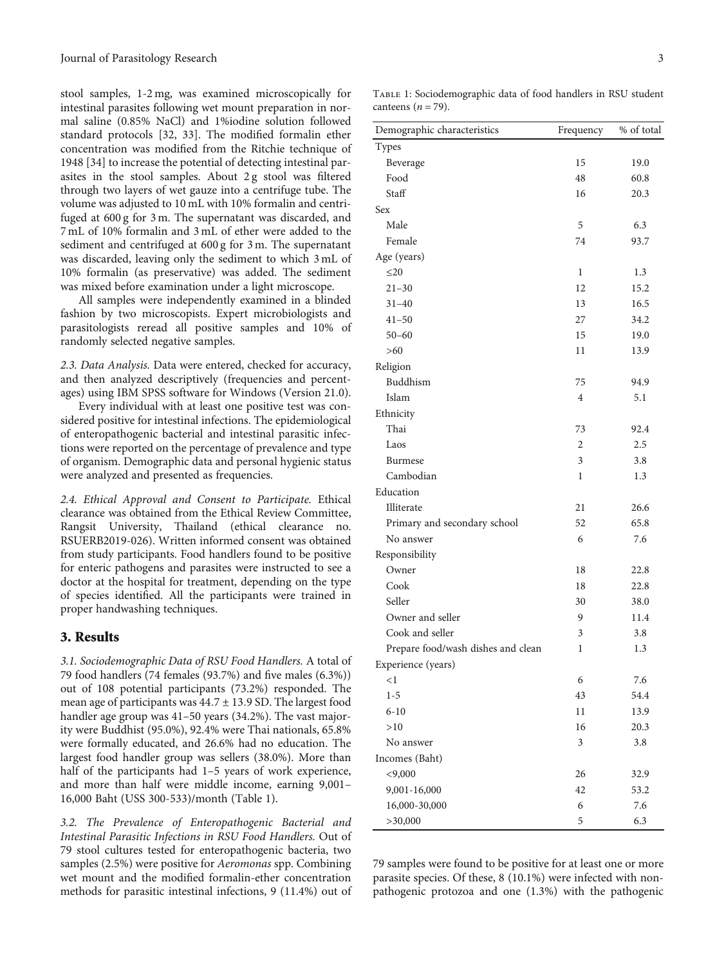stool samples, 1-2 mg, was examined microscopically for intestinal parasites following wet mount preparation in normal saline (0.85% NaCl) and 1%iodine solution followed standard protocols [[32](#page-6-0), [33\]](#page-6-0). The modified formalin ether concentration was modified from the Ritchie technique of 1948 [[34](#page-6-0)] to increase the potential of detecting intestinal parasites in the stool samples. About 2 g stool was filtered through two layers of wet gauze into a centrifuge tube. The volume was adjusted to 10 mL with 10% formalin and centrifuged at 600 g for 3 m. The supernatant was discarded, and 7 mL of 10% formalin and 3 mL of ether were added to the sediment and centrifuged at 600 g for 3 m. The supernatant was discarded, leaving only the sediment to which 3 mL of 10% formalin (as preservative) was added. The sediment was mixed before examination under a light microscope.

All samples were independently examined in a blinded fashion by two microscopists. Expert microbiologists and parasitologists reread all positive samples and 10% of randomly selected negative samples.

2.3. Data Analysis. Data were entered, checked for accuracy, and then analyzed descriptively (frequencies and percentages) using IBM SPSS software for Windows (Version 21.0).

Every individual with at least one positive test was considered positive for intestinal infections. The epidemiological of enteropathogenic bacterial and intestinal parasitic infections were reported on the percentage of prevalence and type of organism. Demographic data and personal hygienic status were analyzed and presented as frequencies.

2.4. Ethical Approval and Consent to Participate. Ethical clearance was obtained from the Ethical Review Committee, Rangsit University, Thailand (ethical clearance no. RSUERB2019-026). Written informed consent was obtained from study participants. Food handlers found to be positive for enteric pathogens and parasites were instructed to see a doctor at the hospital for treatment, depending on the type of species identified. All the participants were trained in proper handwashing techniques.

#### 3. Results

3.1. Sociodemographic Data of RSU Food Handlers. A total of 79 food handlers (74 females (93.7%) and five males (6.3%)) out of 108 potential participants (73.2%) responded. The mean age of participants was 44*:*7 ± 13*:*9 SD. The largest food handler age group was 41-50 years (34.2%). The vast majority were Buddhist (95.0%), 92.4% were Thai nationals, 65.8% were formally educated, and 26.6% had no education. The largest food handler group was sellers (38.0%). More than half of the participants had 1-5 years of work experience, and more than half were middle income, earning 9,001– 16,000 Baht (USS 300-533)/month (Table 1).

3.2. The Prevalence of Enteropathogenic Bacterial and Intestinal Parasitic Infections in RSU Food Handlers. Out of 79 stool cultures tested for enteropathogenic bacteria, two samples (2.5%) were positive for Aeromonas spp. Combining wet mount and the modified formalin-ether concentration methods for parasitic intestinal infections, 9 (11.4%) out of

Table 1: Sociodemographic data of food handlers in RSU student canteens  $(n = 79)$ .

| Demographic characteristics        | Frequency      | % of total |
|------------------------------------|----------------|------------|
| Types                              |                |            |
| Beverage                           | 15             | 19.0       |
| Food                               | 48             | 60.8       |
| Staff                              | 16             | 20.3       |
| <b>Sex</b>                         |                |            |
| Male                               | 5              | 6.3        |
| Female                             | 74             | 93.7       |
| Age (years)                        |                |            |
| $\leq$ 20                          | 1              | 1.3        |
| $21 - 30$                          | 12             | 15.2       |
| $31 - 40$                          | 13             | 16.5       |
| $41 - 50$                          | 27             | 34.2       |
| $50 - 60$                          | 15             | 19.0       |
| $>60$                              | 11             | 13.9       |
| Religion                           |                |            |
| Buddhism                           | 75             | 94.9       |
| Islam                              | $\overline{4}$ | 5.1        |
| Ethnicity                          |                |            |
| Thai                               | 73             | 92.4       |
| Laos                               | 2              | 2.5        |
| <b>Burmese</b>                     | 3              | 3.8        |
| Cambodian                          | 1              | 1.3        |
| Education                          |                |            |
| Illiterate                         | 21             | 26.6       |
| Primary and secondary school       | 52             | 65.8       |
| No answer                          | 6              | 7.6        |
| Responsibility                     |                |            |
| Owner                              | 18             | 22.8       |
| Cook                               | 18             | 22.8       |
| Seller                             | 30             | 38.0       |
| Owner and seller                   | 9              | 11.4       |
| Cook and seller                    | 3              | 3.8        |
| Prepare food/wash dishes and clean | 1              | 1.3        |
| Experience (years)                 |                |            |
| <1                                 | 6              | 7.6        |
| $1 - 5$                            | 43             | 54.4       |
| $6 - 10$                           | 11             | 13.9       |
| >10                                | 16             | 20.3       |
| No answer                          | 3              | 3.8        |
| Incomes (Baht)                     |                |            |
| < 9,000                            | 26             | 32.9       |
| 9,001-16,000                       | 42             | 53.2       |
| 16,000-30,000                      | 6              | 7.6        |
| >30,000                            | 5              | 6.3        |

79 samples were found to be positive for at least one or more parasite species. Of these, 8 (10.1%) were infected with nonpathogenic protozoa and one (1.3%) with the pathogenic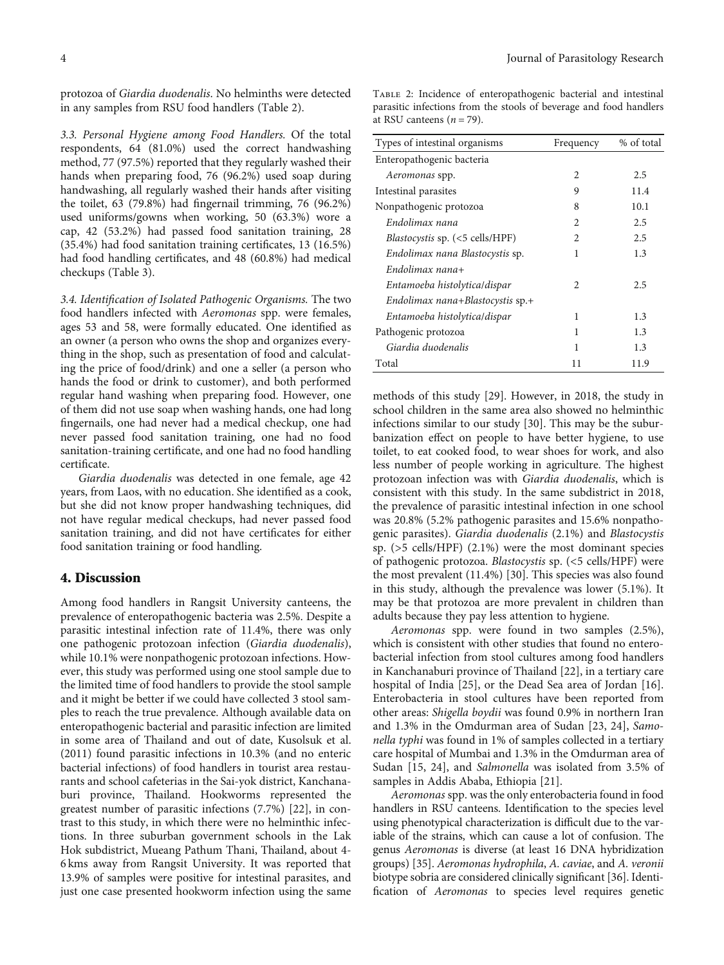protozoa of Giardia duodenalis. No helminths were detected in any samples from RSU food handlers (Table 2).

3.3. Personal Hygiene among Food Handlers. Of the total respondents, 64 (81.0%) used the correct handwashing method, 77 (97.5%) reported that they regularly washed their hands when preparing food, 76 (96.2%) used soap during handwashing, all regularly washed their hands after visiting the toilet, 63 (79.8%) had fingernail trimming, 76 (96.2%) used uniforms/gowns when working, 50 (63.3%) wore a cap, 42 (53.2%) had passed food sanitation training, 28 (35.4%) had food sanitation training certificates, 13 (16.5%) had food handling certificates, and 48 (60.8%) had medical checkups (Table [3\)](#page-4-0).

3.4. Identification of Isolated Pathogenic Organisms. The two food handlers infected with Aeromonas spp. were females, ages 53 and 58, were formally educated. One identified as an owner (a person who owns the shop and organizes everything in the shop, such as presentation of food and calculating the price of food/drink) and one a seller (a person who hands the food or drink to customer), and both performed regular hand washing when preparing food. However, one of them did not use soap when washing hands, one had long fingernails, one had never had a medical checkup, one had never passed food sanitation training, one had no food sanitation-training certificate, and one had no food handling certificate.

Giardia duodenalis was detected in one female, age 42 years, from Laos, with no education. She identified as a cook, but she did not know proper handwashing techniques, did not have regular medical checkups, had never passed food sanitation training, and did not have certificates for either food sanitation training or food handling.

#### 4. Discussion

Among food handlers in Rangsit University canteens, the prevalence of enteropathogenic bacteria was 2.5%. Despite a parasitic intestinal infection rate of 11.4%, there was only one pathogenic protozoan infection (Giardia duodenalis), while 10.1% were nonpathogenic protozoan infections. However, this study was performed using one stool sample due to the limited time of food handlers to provide the stool sample and it might be better if we could have collected 3 stool samples to reach the true prevalence. Although available data on enteropathogenic bacterial and parasitic infection are limited in some area of Thailand and out of date, Kusolsuk et al. (2011) found parasitic infections in 10.3% (and no enteric bacterial infections) of food handlers in tourist area restaurants and school cafeterias in the Sai-yok district, Kanchanaburi province, Thailand. Hookworms represented the greatest number of parasitic infections (7.7%) [[22](#page-5-0)], in contrast to this study, in which there were no helminthic infections. In three suburban government schools in the Lak Hok subdistrict, Mueang Pathum Thani, Thailand, about 4- 6 kms away from Rangsit University. It was reported that 13.9% of samples were positive for intestinal parasites, and just one case presented hookworm infection using the same Table 2: Incidence of enteropathogenic bacterial and intestinal parasitic infections from the stools of beverage and food handlers at RSU canteens  $(n = 79)$ .

| Types of intestinal organisms          | Frequency      | % of total |
|----------------------------------------|----------------|------------|
| Enteropathogenic bacteria              |                |            |
| Aeromonas spp.                         | $\mathfrak{D}$ | 2.5        |
| Intestinal parasites                   | 9              | 11.4       |
| Nonpathogenic protozoa                 | 8              | 10.1       |
| Endolimax nana                         | 2              | 2.5        |
| <i>Blastocystis sp.</i> (<5 cells/HPF) | 2              | 2.5        |
| Endolimax nana Blastocystis sp.        | 1              | 1.3        |
| $Endolimax$ nana+                      |                |            |
| Entamoeba histolytica/dispar           | 2              | 2.5        |
| Endolimax nana+Blastocystis $sp.+$     |                |            |
| Entamoeba histolytica/dispar           | 1              | 1.3        |
| Pathogenic protozoa                    | 1              | 1.3        |
| Giardia duodenalis                     | 1              | 1.3        |
| Total                                  | 11             | 11.9       |

methods of this study [[29](#page-6-0)]. However, in 2018, the study in school children in the same area also showed no helminthic infections similar to our study [\[30\]](#page-6-0). This may be the suburbanization effect on people to have better hygiene, to use toilet, to eat cooked food, to wear shoes for work, and also less number of people working in agriculture. The highest protozoan infection was with Giardia duodenalis, which is consistent with this study. In the same subdistrict in 2018, the prevalence of parasitic intestinal infection in one school was 20.8% (5.2% pathogenic parasites and 15.6% nonpathogenic parasites). Giardia duodenalis (2.1%) and Blastocystis sp. (>5 cells/HPF) (2.1%) were the most dominant species of pathogenic protozoa. Blastocystis sp. (<5 cells/HPF) were the most prevalent (11.4%) [[30](#page-6-0)]. This species was also found in this study, although the prevalence was lower (5.1%). It may be that protozoa are more prevalent in children than adults because they pay less attention to hygiene.

Aeromonas spp. were found in two samples (2.5%), which is consistent with other studies that found no enterobacterial infection from stool cultures among food handlers in Kanchanaburi province of Thailand [[22](#page-5-0)], in a tertiary care hospital of India [[25](#page-5-0)], or the Dead Sea area of Jordan [[16](#page-5-0)]. Enterobacteria in stool cultures have been reported from other areas: Shigella boydii was found 0.9% in northern Iran and 1.3% in the Omdurman area of Sudan [[23, 24\]](#page-5-0), Samonella typhi was found in 1% of samples collected in a tertiary care hospital of Mumbai and 1.3% in the Omdurman area of Sudan [\[15, 24\]](#page-5-0), and Salmonella was isolated from 3.5% of samples in Addis Ababa, Ethiopia [[21](#page-5-0)].

Aeromonas spp. was the only enterobacteria found in food handlers in RSU canteens. Identification to the species level using phenotypical characterization is difficult due to the variable of the strains, which can cause a lot of confusion. The genus Aeromonas is diverse (at least 16 DNA hybridization groups) [\[35](#page-6-0)]. Aeromonas hydrophila, A. caviae, and A. veronii biotype sobria are considered clinically significant [\[36\]](#page-6-0). Identification of Aeromonas to species level requires genetic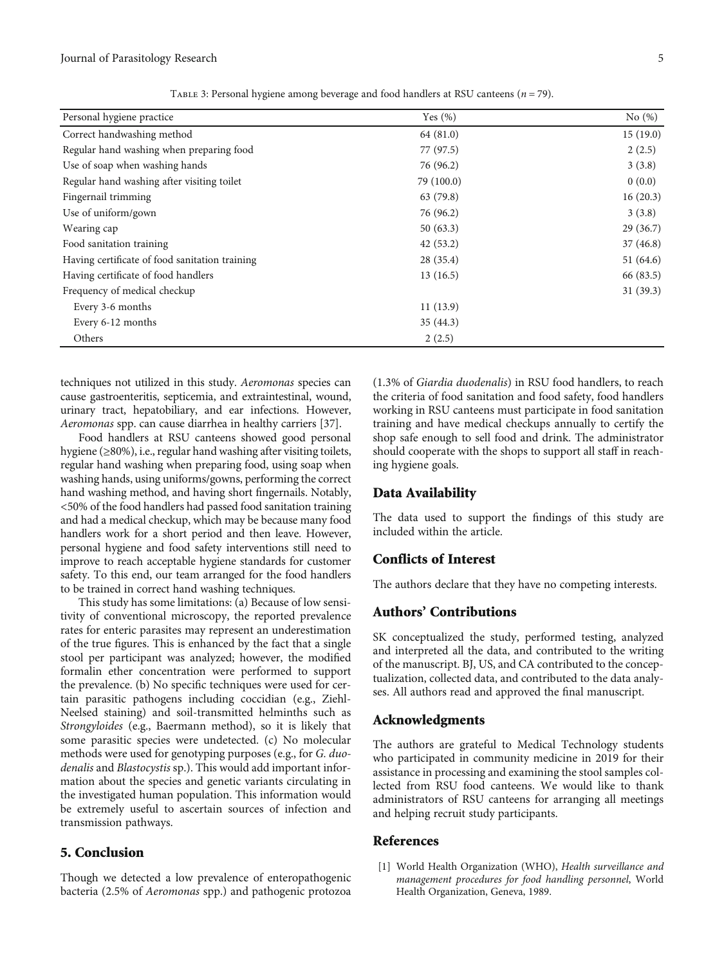<span id="page-4-0"></span>

| Personal hygiene practice                      | Yes $(\%)$ | No $(\%)$   |
|------------------------------------------------|------------|-------------|
| Correct handwashing method                     | 64(81.0)   | 15(19.0)    |
| Regular hand washing when preparing food       | 77 (97.5)  | 2(2.5)      |
| Use of soap when washing hands                 | 76 (96.2)  | 3(3.8)      |
| Regular hand washing after visiting toilet     | 79 (100.0) | 0(0.0)      |
| Fingernail trimming                            | 63 (79.8)  | 16(20.3)    |
| Use of uniform/gown                            | 76 (96.2)  | 3(3.8)      |
| Wearing cap                                    | 50(63.3)   | 29(36.7)    |
| Food sanitation training                       | 42(53.2)   | 37(46.8)    |
| Having certificate of food sanitation training | 28(35.4)   | 51 $(64.6)$ |
| Having certificate of food handlers            | 13(16.5)   | 66 (83.5)   |
| Frequency of medical checkup                   |            | 31(39.3)    |
| Every 3-6 months                               | 11(13.9)   |             |
| Every 6-12 months                              | 35(44.3)   |             |
| Others                                         | 2(2.5)     |             |

Table 3: Personal hygiene among beverage and food handlers at RSU canteens (*n* = 79).

techniques not utilized in this study. Aeromonas species can cause gastroenteritis, septicemia, and extraintestinal, wound, urinary tract, hepatobiliary, and ear infections. However, Aeromonas spp. can cause diarrhea in healthy carriers [\[37\]](#page-6-0).

Food handlers at RSU canteens showed good personal hygiene (≥80%), i.e., regular hand washing after visiting toilets, regular hand washing when preparing food, using soap when washing hands, using uniforms/gowns, performing the correct hand washing method, and having short fingernails. Notably, <50% of the food handlers had passed food sanitation training and had a medical checkup, which may be because many food handlers work for a short period and then leave. However, personal hygiene and food safety interventions still need to improve to reach acceptable hygiene standards for customer safety. To this end, our team arranged for the food handlers to be trained in correct hand washing techniques.

This study has some limitations: (a) Because of low sensitivity of conventional microscopy, the reported prevalence rates for enteric parasites may represent an underestimation of the true figures. This is enhanced by the fact that a single stool per participant was analyzed; however, the modified formalin ether concentration were performed to support the prevalence. (b) No specific techniques were used for certain parasitic pathogens including coccidian (e.g., Ziehl-Neelsed staining) and soil-transmitted helminths such as Strongyloides (e.g., Baermann method), so it is likely that some parasitic species were undetected. (c) No molecular methods were used for genotyping purposes (e.g., for G. duodenalis and Blastocystis sp.). This would add important information about the species and genetic variants circulating in the investigated human population. This information would be extremely useful to ascertain sources of infection and transmission pathways.

# 5. Conclusion

Though we detected a low prevalence of enteropathogenic bacteria (2.5% of Aeromonas spp.) and pathogenic protozoa

(1.3% of Giardia duodenalis) in RSU food handlers, to reach the criteria of food sanitation and food safety, food handlers working in RSU canteens must participate in food sanitation training and have medical checkups annually to certify the shop safe enough to sell food and drink. The administrator should cooperate with the shops to support all staff in reaching hygiene goals.

### Data Availability

The data used to support the findings of this study are included within the article.

#### Conflicts of Interest

The authors declare that they have no competing interests.

### Authors' Contributions

SK conceptualized the study, performed testing, analyzed and interpreted all the data, and contributed to the writing of the manuscript. BJ, US, and CA contributed to the conceptualization, collected data, and contributed to the data analyses. All authors read and approved the final manuscript.

#### Acknowledgments

The authors are grateful to Medical Technology students who participated in community medicine in 2019 for their assistance in processing and examining the stool samples collected from RSU food canteens. We would like to thank administrators of RSU canteens for arranging all meetings and helping recruit study participants.

# References

[1] World Health Organization (WHO), Health surveillance and management procedures for food handling personnel, World Health Organization, Geneva, 1989.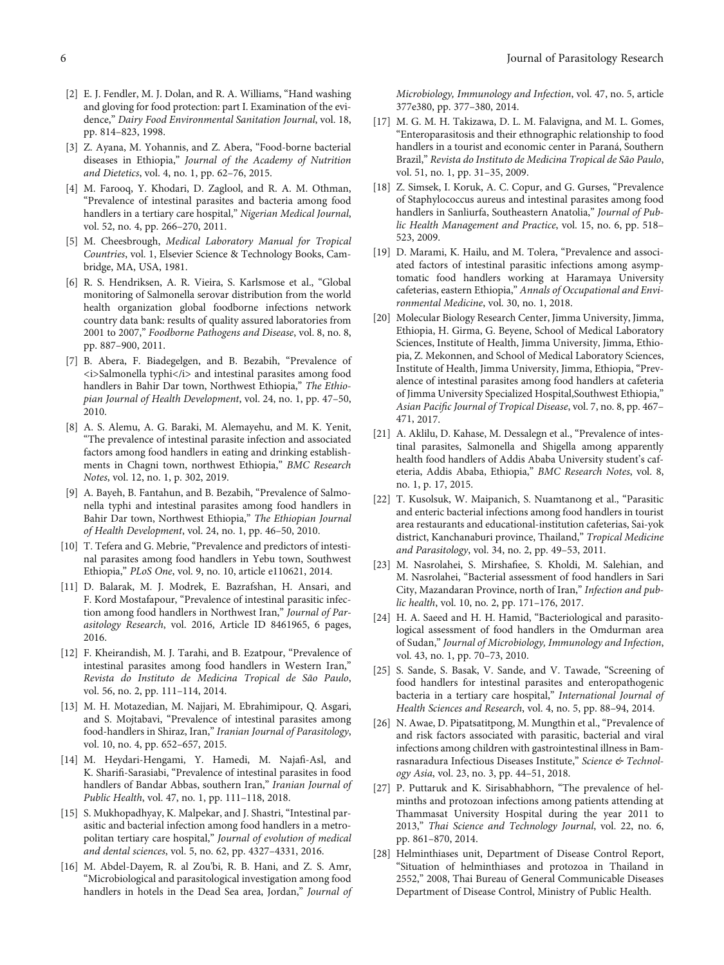- <span id="page-5-0"></span>[2] E. J. Fendler, M. J. Dolan, and R. A. Williams, "Hand washing and gloving for food protection: part I. Examination of the evidence," Dairy Food Environmental Sanitation Journal, vol. 18, pp. 814–823, 1998.
- [3] Z. Ayana, M. Yohannis, and Z. Abera, "Food-borne bacterial diseases in Ethiopia," Journal of the Academy of Nutrition and Dietetics, vol. 4, no. 1, pp. 62–76, 2015.
- [4] M. Farooq, Y. Khodari, D. Zaglool, and R. A. M. Othman, "Prevalence of intestinal parasites and bacteria among food handlers in a tertiary care hospital," Nigerian Medical Journal, vol. 52, no. 4, pp. 266–270, 2011.
- [5] M. Cheesbrough, Medical Laboratory Manual for Tropical Countries, vol. 1, Elsevier Science & Technology Books, Cambridge, MA, USA, 1981.
- [6] R. S. Hendriksen, A. R. Vieira, S. Karlsmose et al., "Global monitoring of Salmonella serovar distribution from the world health organization global foodborne infections network country data bank: results of quality assured laboratories from 2001 to 2007," Foodborne Pathogens and Disease, vol. 8, no. 8, pp. 887–900, 2011.
- [7] B. Abera, F. Biadegelgen, and B. Bezabih, "Prevalence of  $\langle$ i>Salmonella typhi</i> and intestinal parasites among food handlers in Bahir Dar town, Northwest Ethiopia," The Ethiopian Journal of Health Development, vol. 24, no. 1, pp. 47–50, 2010.
- [8] A. S. Alemu, A. G. Baraki, M. Alemayehu, and M. K. Yenit, "The prevalence of intestinal parasite infection and associated factors among food handlers in eating and drinking establishments in Chagni town, northwest Ethiopia," BMC Research Notes, vol. 12, no. 1, p. 302, 2019.
- [9] A. Bayeh, B. Fantahun, and B. Bezabih, "Prevalence of Salmonella typhi and intestinal parasites among food handlers in Bahir Dar town, Northwest Ethiopia," The Ethiopian Journal of Health Development, vol. 24, no. 1, pp. 46–50, 2010.
- [10] T. Tefera and G. Mebrie, "Prevalence and predictors of intestinal parasites among food handlers in Yebu town, Southwest Ethiopia," PLoS One, vol. 9, no. 10, article e110621, 2014.
- [11] D. Balarak, M. J. Modrek, E. Bazrafshan, H. Ansari, and F. Kord Mostafapour, "Prevalence of intestinal parasitic infection among food handlers in Northwest Iran," Journal of Parasitology Research, vol. 2016, Article ID 8461965, 6 pages, 2016.
- [12] F. Kheirandish, M. J. Tarahi, and B. Ezatpour, "Prevalence of intestinal parasites among food handlers in Western Iran," Revista do Instituto de Medicina Tropical de São Paulo, vol. 56, no. 2, pp. 111–114, 2014.
- [13] M. H. Motazedian, M. Najjari, M. Ebrahimipour, Q. Asgari, and S. Mojtabavi, "Prevalence of intestinal parasites among food-handlers in Shiraz, Iran," Iranian Journal of Parasitology, vol. 10, no. 4, pp. 652–657, 2015.
- [14] M. Heydari-Hengami, Y. Hamedi, M. Najafi-Asl, and K. Sharifi-Sarasiabi, "Prevalence of intestinal parasites in food handlers of Bandar Abbas, southern Iran," Iranian Journal of Public Health, vol. 47, no. 1, pp. 111–118, 2018.
- [15] S. Mukhopadhyay, K. Malpekar, and J. Shastri, "Intestinal parasitic and bacterial infection among food handlers in a metropolitan tertiary care hospital," Journal of evolution of medical and dental sciences, vol. 5, no. 62, pp. 4327–4331, 2016.
- [16] M. Abdel-Dayem, R. al Zou'bi, R. B. Hani, and Z. S. Amr, "Microbiological and parasitological investigation among food handlers in hotels in the Dead Sea area, Jordan," Journal of

Microbiology, Immunology and Infection, vol. 47, no. 5, article 377e380, pp. 377–380, 2014.

- [17] M. G. M. H. Takizawa, D. L. M. Falavigna, and M. L. Gomes, "Enteroparasitosis and their ethnographic relationship to food handlers in a tourist and economic center in Paraná, Southern Brazil," Revista do Instituto de Medicina Tropical de São Paulo, vol. 51, no. 1, pp. 31–35, 2009.
- [18] Z. Simsek, I. Koruk, A. C. Copur, and G. Gurses, "Prevalence of Staphylococcus aureus and intestinal parasites among food handlers in Sanliurfa, Southeastern Anatolia," Journal of Public Health Management and Practice, vol. 15, no. 6, pp. 518– 523, 2009.
- [19] D. Marami, K. Hailu, and M. Tolera, "Prevalence and associated factors of intestinal parasitic infections among asymptomatic food handlers working at Haramaya University cafeterias, eastern Ethiopia," Annals of Occupational and Environmental Medicine, vol. 30, no. 1, 2018.
- [20] Molecular Biology Research Center, Jimma University, Jimma, Ethiopia, H. Girma, G. Beyene, School of Medical Laboratory Sciences, Institute of Health, Jimma University, Jimma, Ethiopia, Z. Mekonnen, and School of Medical Laboratory Sciences, Institute of Health, Jimma University, Jimma, Ethiopia, "Prevalence of intestinal parasites among food handlers at cafeteria of Jimma University Specialized Hospital,Southwest Ethiopia," Asian Pacific Journal of Tropical Disease, vol. 7, no. 8, pp. 467– 471, 2017.
- [21] A. Aklilu, D. Kahase, M. Dessalegn et al., "Prevalence of intestinal parasites, Salmonella and Shigella among apparently health food handlers of Addis Ababa University student's cafeteria, Addis Ababa, Ethiopia," BMC Research Notes, vol. 8, no. 1, p. 17, 2015.
- [22] T. Kusolsuk, W. Maipanich, S. Nuamtanong et al., "Parasitic and enteric bacterial infections among food handlers in tourist area restaurants and educational-institution cafeterias, Sai-yok district, Kanchanaburi province, Thailand," Tropical Medicine and Parasitology, vol. 34, no. 2, pp. 49–53, 2011.
- [23] M. Nasrolahei, S. Mirshafiee, S. Kholdi, M. Salehian, and M. Nasrolahei, "Bacterial assessment of food handlers in Sari City, Mazandaran Province, north of Iran," Infection and public health, vol. 10, no. 2, pp. 171–176, 2017.
- [24] H. A. Saeed and H. H. Hamid, "Bacteriological and parasitological assessment of food handlers in the Omdurman area of Sudan," Journal of Microbiology, Immunology and Infection, vol. 43, no. 1, pp. 70–73, 2010.
- [25] S. Sande, S. Basak, V. Sande, and V. Tawade, "Screening of food handlers for intestinal parasites and enteropathogenic bacteria in a tertiary care hospital," International Journal of Health Sciences and Research, vol. 4, no. 5, pp. 88–94, 2014.
- [26] N. Awae, D. Pipatsatitpong, M. Mungthin et al., "Prevalence of and risk factors associated with parasitic, bacterial and viral infections among children with gastrointestinal illness in Bamrasnaradura Infectious Diseases Institute," Science & Technology Asia, vol. 23, no. 3, pp. 44–51, 2018.
- [27] P. Puttaruk and K. Sirisabhabhorn, "The prevalence of helminths and protozoan infections among patients attending at Thammasat University Hospital during the year 2011 to 2013," Thai Science and Technology Journal, vol. 22, no. 6, pp. 861–870, 2014.
- [28] Helminthiases unit, Department of Disease Control Report, "Situation of helminthiases and protozoa in Thailand in 2552," 2008, Thai Bureau of General Communicable Diseases Department of Disease Control, Ministry of Public Health.